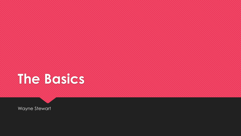# **The Basics**

Wayne Stewart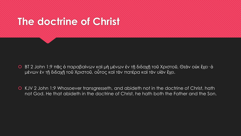### **The doctrine of Christ**

- BT 2 John 1:9 πᾶς ὁ παραβαίνων καὶ μὴ μένων ἐν τῇ διδαχῇ τοῦ Χριστοῦ, Θεὸν οὐκ ἔχει· ὁ μένων ἐν τῇ διδαχῇ τοῦ Χριστοῦ, οὗτος καὶ τὸν πατέρα καὶ τὸν υἱὸν ἔχει.
- KJV 2 John 1:9 Whosoever transgresseth, and abideth not in the doctrine of Christ, hath not God. He that abideth in the doctrine of Christ, he hath both the Father and the Son.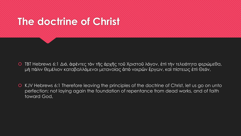### **The doctrine of Christ**

- TBT Hebrews 6:1 Διό, ἀφέντες τὸν τῆς ἀρχῆς τοῦ Χριστοῦ λόγον, ἐπὶ τὴν τελειότητα φερώμεθα, μὴ πάλιν θεμέλιον καταβαλλόμενοι μετανοίας ἀπὸ νεκρῶν ἔργων, καὶ πίστεως ἐπὶ Θεόν,
- KJV Hebrews 6:1 Therefore leaving the principles of the doctrine of Christ, let us go on unto perfection; not laying again the foundation of repentance from dead works, and of faith toward God,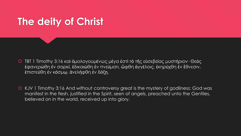### **The deity of Christ**

- TBT 1 Timothy 3:16 καὶ ὁμολογουμένως μέγα ἐστὶ τὸ τῆς εὐσεβείας μυστήριον· Θεὸς ἐφανερώθη ἐν σαρκί, ἐδικαιώθη ἐν πνεύματι, ὤφθη ἀγγέλοις, ἐκηρύχθη ἐν ἔθνεσιν, ἐπιστεύθη ἐν κόσμῳ, ἀνελήφθη ἐν δόξῃ.
- KJV 1 Timothy 3:16 And without controversy great is the mystery of godliness: God was manifest in the flesh, justified in the Spirit, seen of angels, preached unto the Gentiles, believed on in the world, received up into glory.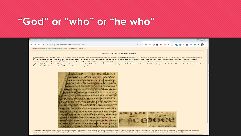#### **"God" or "who" or "he who"**

#### Codex Alexandrinus, 1 Timothy 3:16 - Google Chrome  $=$  $\mathbb{F}$  $\leftarrow$   $\rightarrow$  C A Not secure | bible-researcher.com/alexandrinus4.html Bible Research > Textual Criticism > Bibliography > Codex Alexandrinus > 1 Timothy 3:16 1 Timothy 3:16 in Codex Alexandrinus Reproduced below is the text of 1 Timothy 3:16-4:3 from Codex A, as presented in the photographic facsimile volume published by the British Museum in 1879. Of particular interest here is the reading in 3:16, where it may b OC "God was manifested in the flesh," employing the usual abbreviation OC for OEOC, with a stroke over the letters to indicate an abbreviation. However, textual critics believe that the ink in the center of the O and the s corrector in modern times. Reasons for this belief are the color of the ink, and the fact that a "dot" has been placed in the O instead of a line. Tregelles writes, "The ink in which this has been done in A is sufficiently application" (An Account of the Printed Text of the Greek New Testament, London, 1854). Without these marks, the manuscript originally read OC "He who was manifested in the flesh." In the photograph below the OC in 3:16 is there is another OC circled for comparison. Click on the circled areas for a larger view. **ICXIONIONORUT BECASSARC DOMEPACOTUMPTYPIRCEYCE** MYCTHPEDIV SCGC ANCPU **COCAPACTERSICA MINESONCERTIFICO CARD AT I E ACIE (A) AT CARD AT VICTOR CITY IGENACHTOTAYONG NORKOOK. CATING OFFIC NAOZETILIONE** CDA AP STUJEA SPEI UTHE MY IP OICKAPTOMCATIOCTTICONTAITE **IGO TI KEITTE TELLOR PO GENOMICO TINGYAMAC HAANOIC KMALAZMAN AGIN WANKEDIVIOUMSMYHOMPI** CEINE YAOAOTUM KEKAYCTIPI **ACESTMONSTITUIATANCYNEIXE** CIN KONYONI WHITANGIN ADE МЕСТАТКРОЗКА ТОЛЬГАООССКЫ

Nestle-Aland: καὶ δμολογουμένως μέγα ἐστὶν τὸ τῆς εὐσεβείας μυστήριον "Ος ἐφανερώθη ἐν σακι, ἐδικαιώθη ἐν πρωτημό φαιρ, ξεν ενδημού ενδημού και δημοθη ἐν δόξη. Το δὲ πνεῦμα ρητῶς λέγει ὅτι ἐν ὑστέροις καιροϊς ἀποστήσονταί

CRECHAAISMATINEYAS *Y BASTUICTIVE TOICAL*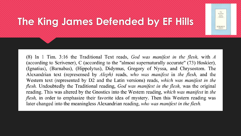#### The King James Version Defended **EDWARD F. HILLS**

### **The King James Defended by EF Hills**

(8) In 1 Tim. 3:16 the Traditional Text reads, God was manifest in the flesh, with  $A$ (according to Scrivener), C (according to the "almost supernaturally accurate" (73) Hoskier), (Ignatius), (Barnabas), (Hippolytus), Didymus, Gregory of Nyssa, and Chrysostom. The Alexandrian text (represensed by *Aleph*) reads, who was manifest in the flesh, and the Western text (represented by D2 and the Latin versions) reads, which was manifest in the flesh. Undoubtedly the Traditional reading, God was manifest in the flesh, was the original reading. This was altered by the Gnostics into the Western reading, which was manifest in the *flesh*, in order to emphasize their favorite idea of mystery. Then this Western reading was later changed into the meaningless Alexandrian reading, who was manifest in the flesh.